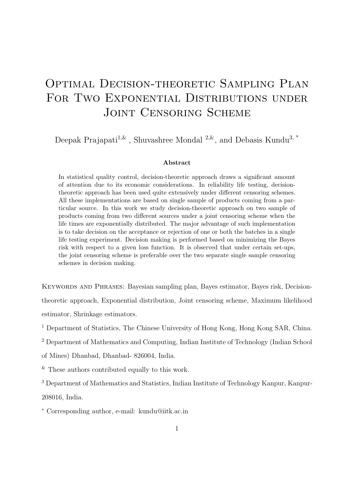# OPTIMAL DECISION-THEORETIC SAMPLING PLAN FOR TWO EXPONENTIAL DISTRIBUTIONS UNDER Joint Censoring Scheme

Deepak Prajapati<sup>1,&</sup>, Shuvashree Mondal <sup>2,&</sup>, and Debasis Kundu<sup>3,\*</sup>

#### Abstract

In statistical quality control, decision-theoretic approach draws a significant amount of attention due to its economic considerations. In reliability life testing, decisiontheoretic approach has been used quite extensively under different censoring schemes. All these implementations are based on single sample of products coming from a particular source. In this work we study decision-theoretic approach on two sample of products coming from two different sources under a joint censoring scheme when the life times are exponentially distributed. The major advantage of such implementation is to take decision on the acceptance or rejection of one or both the batches in a single life testing experiment. Decision making is performed based on minimizing the Bayes risk with respect to a given loss function. It is observed that under certain set-ups, the joint censoring scheme is preferable over the two separate single sample censoring schemes in decision making.

Keywords and Phrases: Bayesian sampling plan, Bayes estimator, Bayes risk, Decisiontheoretic approach, Exponential distribution, Joint censoring scheme, Maximum likelihood estimator, Shrinkage estimators.

<sup>1</sup> Department of Statistics, The Chinese University of Hong Kong, Hong Kong SAR, China.

<sup>2</sup> Department of Mathematics and Computing, Indian Institute of Technology (Indian School

of Mines) Dhanbad, Dhanbad- 826004, India.

 $*$  These authors contributed equally to this work.

<sup>3</sup> Department of Mathematics and Statistics, Indian Institute of Technology Kanpur, Kanpur-208016, India.

<sup>∗</sup> Corresponding author, e-mail: kundu@iitk.ac.in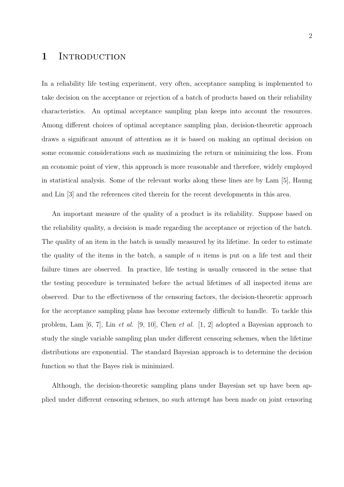### 1 INTRODUCTION

In a reliability life testing experiment, very often, acceptance sampling is implemented to take decision on the acceptance or rejection of a batch of products based on their reliability characteristics. An optimal acceptance sampling plan keeps into account the resources. Among different choices of optimal acceptance sampling plan, decision-theoretic approach draws a significant amount of attention as it is based on making an optimal decision on some economic considerations such as maximizing the return or minimizing the loss. From an economic point of view, this approach is more reasonable and therefore, widely employed in statistical analysis. Some of the relevant works along these lines are by Lam [5], Haung and Lin [3] and the references cited therein for the recent developments in this area.

An important measure of the quality of a product is its reliability. Suppose based on the reliability quality, a decision is made regarding the acceptance or rejection of the batch. The quality of an item in the batch is usually measured by its lifetime. In order to estimate the quality of the items in the batch, a sample of  $n$  items is put on a life test and their failure times are observed. In practice, life testing is usually censored in the sense that the testing procedure is terminated before the actual lifetimes of all inspected items are observed. Due to the effectiveness of the censoring factors, the decision-theoretic approach for the acceptance sampling plans has become extremely difficult to handle. To tackle this problem, Lam [6, 7], Lin *et al.* [9, 10], Chen *et al.* [1, 2] adopted a Bayesian approach to study the single variable sampling plan under different censoring schemes, when the lifetime distributions are exponential. The standard Bayesian approach is to determine the decision function so that the Bayes risk is minimized.

Although, the decision-theoretic sampling plans under Bayesian set up have been applied under different censoring schemes, no such attempt has been made on joint censoring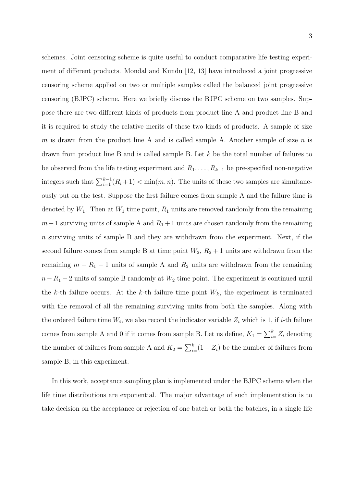schemes. Joint censoring scheme is quite useful to conduct comparative life testing experiment of different products. Mondal and Kundu [12, 13] have introduced a joint progressive censoring scheme applied on two or multiple samples called the balanced joint progressive censoring (BJPC) scheme. Here we briefly discuss the BJPC scheme on two samples. Suppose there are two different kinds of products from product line A and product line B and it is required to study the relative merits of these two kinds of products. A sample of size m is drawn from the product line A and is called sample A. Another sample of size  $n$  is drawn from product line B and is called sample B. Let k be the total number of failures to be observed from the life testing experiment and  $R_1, \ldots, R_{k-1}$  be pre-specified non-negative integers such that  $\sum_{i=1}^{k-1} (R_i + 1) < \min(m, n)$ . The units of these two samples are simultaneously put on the test. Suppose the first failure comes from sample A and the failure time is denoted by  $W_1$ . Then at  $W_1$  time point,  $R_1$  units are removed randomly from the remaining  $m-1$  surviving units of sample A and  $R_1 + 1$  units are chosen randomly from the remaining n surviving units of sample B and they are withdrawn from the experiment. Next, if the second failure comes from sample B at time point  $W_2$ ,  $R_2 + 1$  units are withdrawn from the remaining  $m - R_1 - 1$  units of sample A and  $R_2$  units are withdrawn from the remaining  $n - R_1 - 2$  units of sample B randomly at  $W_2$  time point. The experiment is continued until the k-th failure occurs. At the k-th failure time point  $W_k$ , the experiment is terminated with the removal of all the remaining surviving units from both the samples. Along with the ordered failure time  $W_i$ , we also record the indicator variable  $Z_i$  which is 1, if *i*-th failure comes from sample A and 0 if it comes from sample B. Let us define,  $K_1 = \sum_{i=1}^{k} Z_i$  denoting the number of failures from sample A and  $K_2 = \sum_{i=1}^{k} (1 - Z_i)$  be the number of failures from sample B, in this experiment.

In this work, acceptance sampling plan is implemented under the BJPC scheme when the life time distributions are exponential. The major advantage of such implementation is to take decision on the acceptance or rejection of one batch or both the batches, in a single life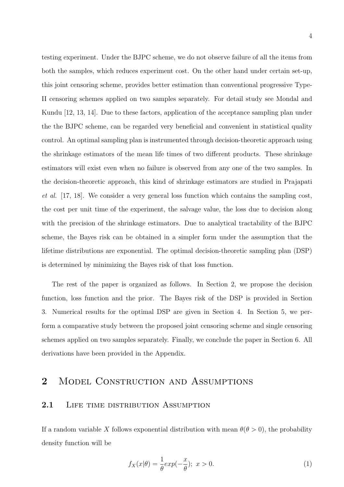testing experiment. Under the BJPC scheme, we do not observe failure of all the items from both the samples, which reduces experiment cost. On the other hand under certain set-up, this joint censoring scheme, provides better estimation than conventional progressive Type-II censoring schemes applied on two samples separately. For detail study see Mondal and Kundu [12, 13, 14]. Due to these factors, application of the acceptance sampling plan under the the BJPC scheme, can be regarded very beneficial and convenient in statistical quality control. An optimal sampling plan is instrumented through decision-theoretic approach using the shrinkage estimators of the mean life times of two different products. These shrinkage estimators will exist even when no failure is observed from any one of the two samples. In the decision-theoretic approach, this kind of shrinkage estimators are studied in Prajapati *et al.* [17, 18]. We consider a very general loss function which contains the sampling cost, the cost per unit time of the experiment, the salvage value, the loss due to decision along with the precision of the shrinkage estimators. Due to analytical tractability of the BJPC scheme, the Bayes risk can be obtained in a simpler form under the assumption that the lifetime distributions are exponential. The optimal decision-theoretic sampling plan (DSP) is determined by minimizing the Bayes risk of that loss function.

The rest of the paper is organized as follows. In Section 2, we propose the decision function, loss function and the prior. The Bayes risk of the DSP is provided in Section 3. Numerical results for the optimal DSP are given in Section 4. In Section 5, we perform a comparative study between the proposed joint censoring scheme and single censoring schemes applied on two samples separately. Finally, we conclude the paper in Section 6. All derivations have been provided in the Appendix.

### 2 MODEL CONSTRUCTION AND ASSUMPTIONS

### 2.1 LIFE TIME DISTRIBUTION ASSUMPTION

If a random variable X follows exponential distribution with mean  $\theta(\theta > 0)$ , the probability density function will be

$$
f_X(x|\theta) = \frac{1}{\theta} \exp(-\frac{x}{\theta}); \ x > 0.
$$
 (1)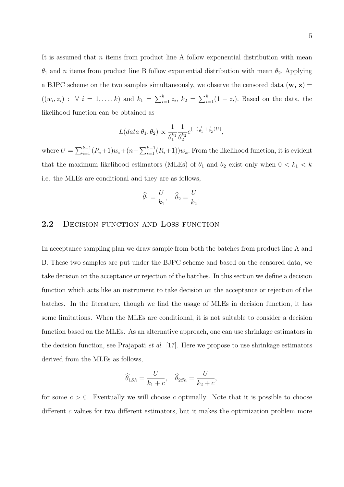It is assumed that  $n$  items from product line A follow exponential distribution with mean  $\theta_1$  and n items from product line B follow exponential distribution with mean  $\theta_2$ . Applying a BJPC scheme on the two samples simultaneously, we observe the censored data  $(\mathbf{w}, \mathbf{z}) =$  $((w_i, z_i) : \forall i = 1, ..., k)$  and  $k_1 = \sum_{i=1}^k z_i$ ,  $k_2 = \sum_{i=1}^k (1 - z_i)$ . Based on the data, the likelihood function can be obtained as

$$
L(data|\theta_1, \theta_2) \propto \frac{1}{\theta_1^{k_1}} \frac{1}{\theta_2^{k_2}} e^{(-(\frac{1}{\theta_1} + \frac{1}{\theta_2})U)},
$$

where  $U = \sum_{i=1}^{k-1} (R_i + 1)w_i + (n - \sum_{i=1}^{k-1} (R_i + 1))w_k$ . From the likelihood function, it is evident that the maximum likelihood estimators (MLEs) of  $\theta_1$  and  $\theta_2$  exist only when  $0 < k_1 < k$ i.e. the MLEs are conditional and they are as follows,

$$
\widehat{\theta}_1 = \frac{U}{k_1}, \quad \widehat{\theta}_2 = \frac{U}{k_2}.
$$

### 2.2 DECISION FUNCTION AND LOSS FUNCTION

In acceptance sampling plan we draw sample from both the batches from product line A and B. These two samples are put under the BJPC scheme and based on the censored data, we take decision on the acceptance or rejection of the batches. In this section we define a decision function which acts like an instrument to take decision on the acceptance or rejection of the batches. In the literature, though we find the usage of MLEs in decision function, it has some limitations. When the MLEs are conditional, it is not suitable to consider a decision function based on the MLEs. As an alternative approach, one can use shrinkage estimators in the decision function, see Prajapati *et al.* [17]. Here we propose to use shrinkage estimators derived from the MLEs as follows,

$$
\widehat{\theta}_{1Sh} = \frac{U}{k_1 + c}, \quad \widehat{\theta}_{2Sh} = \frac{U}{k_2 + c},
$$

for some  $c > 0$ . Eventually we will choose c optimally. Note that it is possible to choose different c values for two different estimators, but it makes the optimization problem more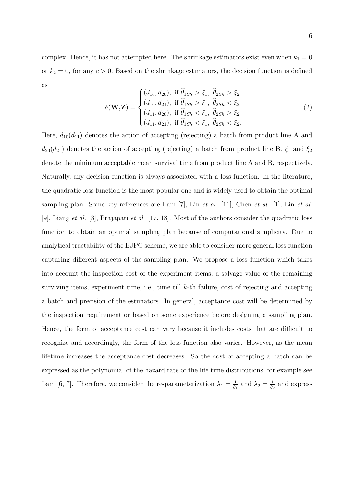complex. Hence, it has not attempted here. The shrinkage estimators exist even when  $k_1 = 0$ or  $k_2 = 0$ , for any  $c > 0$ . Based on the shrinkage estimators, the decision function is defined as

$$
\delta(\mathbf{W}, \mathbf{Z}) = \begin{cases}\n(d_{10}, d_{20}), & \text{if } \hat{\theta}_{1Sh} > \xi_1, \ \hat{\theta}_{2Sh} > \xi_2 \\
(d_{10}, d_{21}), & \text{if } \hat{\theta}_{1Sh} > \xi_1, \ \hat{\theta}_{2Sh} < \xi_2 \\
(d_{11}, d_{20}), & \text{if } \hat{\theta}_{1Sh} < \xi_1, \ \hat{\theta}_{2Sh} > \xi_2 \\
(d_{11}, d_{21}), & \text{if } \hat{\theta}_{1Sh} < \xi_1, \ \hat{\theta}_{2Sh} < \xi_2.\n\end{cases}
$$
\n(2)

Here,  $d_{10}(d_{11})$  denotes the action of accepting (rejecting) a batch from product line A and  $d_{20}(d_{21})$  denotes the action of accepting (rejecting) a batch from product line B.  $\xi_1$  and  $\xi_2$ denote the minimum acceptable mean survival time from product line A and B, respectively. Naturally, any decision function is always associated with a loss function. In the literature, the quadratic loss function is the most popular one and is widely used to obtain the optimal sampling plan. Some key references are Lam [7], Lin *et al.* [11], Chen *et al.* [1], Lin *et al.* [9], Liang *et al.* [8], Prajapati *et al.* [17, 18]. Most of the authors consider the quadratic loss function to obtain an optimal sampling plan because of computational simplicity. Due to analytical tractability of the BJPC scheme, we are able to consider more general loss function capturing different aspects of the sampling plan. We propose a loss function which takes into account the inspection cost of the experiment items, a salvage value of the remaining surviving items, experiment time, i.e., time till  $k$ -th failure, cost of rejecting and accepting a batch and precision of the estimators. In general, acceptance cost will be determined by the inspection requirement or based on some experience before designing a sampling plan. Hence, the form of acceptance cost can vary because it includes costs that are difficult to recognize and accordingly, the form of the loss function also varies. However, as the mean lifetime increases the acceptance cost decreases. So the cost of accepting a batch can be expressed as the polynomial of the hazard rate of the life time distributions, for example see Lam [6, 7]. Therefore, we consider the re-parameterization  $\lambda_1 = \frac{1}{\theta_1}$  $\frac{1}{\theta_1}$  and  $\lambda_2 = \frac{1}{\theta_2}$  $\frac{1}{\theta_2}$  and express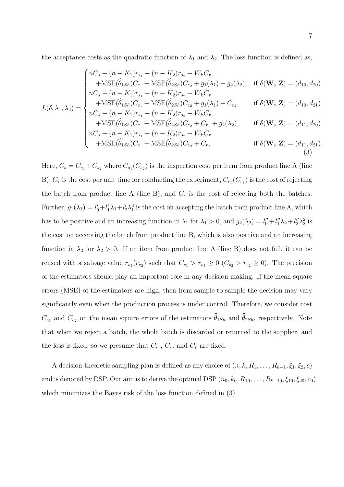the acceptance costs as the quadratic function of  $\lambda_1$  and  $\lambda_2$ . The loss function is defined as,

$$
L(\delta, \lambda_1, \lambda_2) = \begin{cases} nC_s - (n - K_1)r_{s_1} - (n - K_2)r_{s_2} + W_kC_\tau \\ + \text{MSE}(\hat{\theta}_{1Sh})C_{e_1} + \text{MSE}(\hat{\theta}_{2Sh})C_{e_2} + g_1(\lambda_1) + g_2(\lambda_2), & \text{if } \delta(\mathbf{W}, \mathbf{Z}) = (d_{10}, d_{20}) \\ nC_s - (n - K_1)r_{s_1} - (n - K_2)r_{s_2} + W_kC_\tau \\ + \text{MSE}(\hat{\theta}_{1Sh})C_{e_1} + \text{MSE}(\hat{\theta}_{2Sh})C_{e_2} + g_1(\lambda_1) + C_{r_2}, & \text{if } \delta(\mathbf{W}, \mathbf{Z}) = (d_{10}, d_{21}) \\ nC_s - (n - K_1)r_{s_1} - (n - K_2)r_{s_2} + W_kC_\tau \\ + \text{MSE}(\hat{\theta}_{1Sh})C_{e_1} + \text{MSE}(\hat{\theta}_{2Sh})C_{e_2} + C_{r_1} + g_2(\lambda_2), & \text{if } \delta(\mathbf{W}, \mathbf{Z}) = (d_{11}, d_{20}) \\ nC_s - (n - K_1)r_{s_1} - (n - K_2)r_{s_2} + W_kC_\tau \\ + \text{MSE}(\hat{\theta}_{1Sh})C_{e_1} + \text{MSE}(\hat{\theta}_{2Sh})C_{e_2} + C_r, & \text{if } \delta(\mathbf{W}, \mathbf{Z}) = (d_{11}, d_{21}). \end{cases}
$$
\n(3)

Here,  $C_s = C_{s_1} + C_{s_2}$  where  $C_{s_1}(C_{s_2})$  is the inspection cost per item from product line A (line B),  $C_{\tau}$  is the cost per unit time for conducting the experiment,  $C_{r_1}(C_{r_2})$  is the cost of rejecting the batch from product line A (line B), and  $C_r$  is the cost of rejecting both the batches. Further,  $g_1(\lambda_1) = l'_0 + l'_1 \lambda_1 + l'_2 \lambda_1^2$  is the cost on accepting the batch from product line A, which has to be positive and an increasing function in  $\lambda_1$  for  $\lambda_1 > 0$ , and  $g_2(\lambda_2) = l''_0 + l''_1 \lambda_2 + l''_2 \lambda_2^2$  is the cost on accepting the batch from product line B, which is also positive and an increasing function in  $\lambda_2$  for  $\lambda_2 > 0$ . If an item from product line A (line B) does not fail, it can be reused with a salvage value  $r_{s_1}(r_{s_2})$  such that  $C_{s_1} > r_{s_1} \geq 0$  ( $C_{s_2} > r_{s_2} \geq 0$ ). The precision of the estimators should play an important role in any decision making. If the mean square errors (MSE) of the estimators are high, then from sample to sample the decision may vary significantly even when the production process is under control. Therefore, we consider cost  $C_{e_1}$  and  $C_{e_2}$  on the mean square errors of the estimators  $\widehat{\theta}_{1Sh}$  and  $\widehat{\theta}_{2Sh}$ , respectively. Note that when we reject a batch, the whole batch is discarded or returned to the supplier, and the loss is fixed, so we presume that  $C_{r_1}, C_{r_2}$  and  $C_r$  are fixed.

A decision-theoretic sampling plan is defined as any choice of  $(n, k, R_1, \ldots, R_{k-1}, \xi_1, \xi_2, c)$ and is denoted by DSP. Our aim is to derive the optimal DSP  $(n_0, k_0, R_{10}, \ldots, R_{k-10}, \xi_{10}, \xi_{20}, c_0)$ which minimizes the Bayes risk of the loss function defined in  $(3)$ .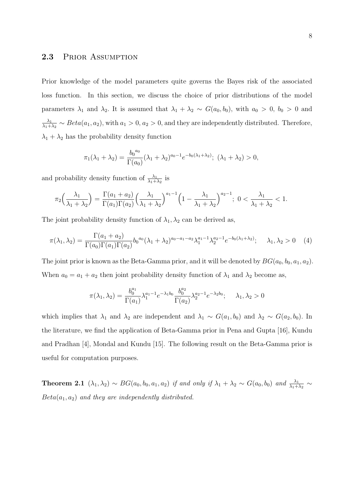### 2.3 PRIOR ASSUMPTION

Prior knowledge of the model parameters quite governs the Bayes risk of the associated loss function. In this section, we discuss the choice of prior distributions of the model parameters  $\lambda_1$  and  $\lambda_2$ . It is assumed that  $\lambda_1 + \lambda_2 \sim G(a_0, b_0)$ , with  $a_0 > 0$ ,  $b_0 > 0$  and  $\lambda_1$  $\frac{\lambda_1}{\lambda_1+\lambda_2} \sim Beta(a_1, a_2)$ , with  $a_1 > 0$ ,  $a_2 > 0$ , and they are independently distributed. Therefore,  $\lambda_1 + \lambda_2$  has the probability density function

$$
\pi_1(\lambda_1 + \lambda_2) = \frac{b_0^{a_0}}{\Gamma(a_0)} (\lambda_1 + \lambda_2)^{a_0 - 1} e^{-b_0(\lambda_1 + \lambda_2)}; \ (\lambda_1 + \lambda_2) > 0,
$$

and probability density function of  $\frac{\lambda_1}{\lambda_1 + \lambda_2}$  is

$$
\pi_2\left(\frac{\lambda_1}{\lambda_1+\lambda_2}\right)=\frac{\Gamma(a_1+a_2)}{\Gamma(a_1)\Gamma(a_2)}\left(\frac{\lambda_1}{\lambda_1+\lambda_2}\right)^{a_1-1}\left(1-\frac{\lambda_1}{\lambda_1+\lambda_2}\right)^{a_2-1};\ 0<\frac{\lambda_1}{\lambda_1+\lambda_2}<1.
$$

The joint probability density function of  $\lambda_1, \lambda_2$  can be derived as,

$$
\pi(\lambda_1, \lambda_2) = \frac{\Gamma(a_1 + a_2)}{\Gamma(a_0)\Gamma(a_1)\Gamma(a_2)} b_0^{a_0} (\lambda_1 + \lambda_2)^{a_0 - a_1 - a_2} \lambda_1^{a_1 - 1} \lambda_2^{a_2 - 1} e^{-b_0(\lambda_1 + \lambda_2)}; \quad \lambda_1, \lambda_2 > 0 \quad (4)
$$

The joint prior is known as the Beta-Gamma prior, and it will be denoted by  $BG(a_0, b_0, a_1, a_2)$ . When  $a_0 = a_1 + a_2$  then joint probability density function of  $\lambda_1$  and  $\lambda_2$  become as,

$$
\pi(\lambda_1, \lambda_2) = \frac{b_0^{a_1}}{\Gamma(a_1)} \lambda_1^{a_1 - 1} e^{-\lambda_1 b_0} \frac{b_0^{a_2}}{\Gamma(a_2)} \lambda_2^{a_2 - 1} e^{-\lambda_2 b_0}; \quad \lambda_1, \lambda_2 > 0
$$

which implies that  $\lambda_1$  and  $\lambda_2$  are independent and  $\lambda_1 \sim G(a_1, b_0)$  and  $\lambda_2 \sim G(a_2, b_0)$ . In the literature, we find the application of Beta-Gamma prior in Pena and Gupta [16], Kundu and Pradhan [4], Mondal and Kundu [15]. The following result on the Beta-Gamma prior is useful for computation purposes.

**Theorem 2.1**  $(\lambda_1, \lambda_2) \sim BG(a_0, b_0, a_1, a_2)$  *if and only if*  $\lambda_1 + \lambda_2 \sim G(a_0, b_0)$  *and*  $\frac{\lambda_1}{\lambda_1 + \lambda_2} \sim$  $Beta(a_1, a_2)$  *and they are independently distributed.*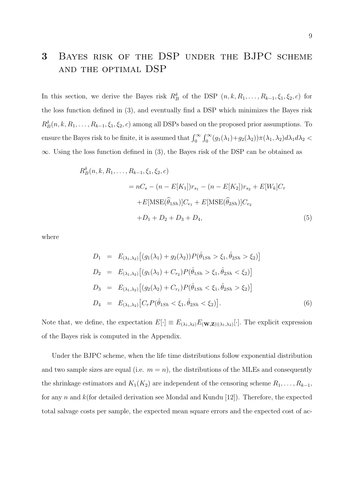## 3 Bayes risk of the DSP under the BJPC scheme and the optimal DSP

In this section, we derive the Bayes risk  $R_B^{\delta}$  of the DSP  $(n, k, R_1, \ldots, R_{k-1}, \xi_1, \xi_2, c)$  for the loss function defined in (3), and eventually find a DSP which minimizes the Bayes risk  $R_B^{\delta}(n, k, R_1, \ldots, R_{k-1}, \xi_1, \xi_2, c)$  among all DSPs based on the proposed prior assumptions. To ensure the Bayes risk to be finite, it is assumed that  $\int_0^\infty \int_0^\infty (g_1(\lambda_1)+g_2(\lambda_2))\pi(\lambda_1,\lambda_2)d\lambda_1 d\lambda_2 <$  $\infty$ . Using the loss function defined in (3), the Bayes risk of the DSP can be obtained as

$$
R_B^{\delta}(n, k, R_1, \dots, R_{k-1}, \xi_1, \xi_2, c)
$$
  
=  $nC_s - (n - E[K_1])r_{s_1} - (n - E[K_2])r_{s_2} + E[W_k]C_{\tau}$   
+ $E[\text{MSE}(\hat{\theta}_{1Sh})]C_{e_1} + E[\text{MSE}(\hat{\theta}_{2Sh})]C_{e_2}$   
+ $D_1 + D_2 + D_3 + D_4,$  (5)

where

$$
D_1 = E_{(\lambda_1, \lambda_2)} [(g_1(\lambda_1) + g_2(\lambda_2)) P(\hat{\theta}_{1Sh} > \xi_1, \hat{\theta}_{2Sh} > \xi_2)]
$$
  
\n
$$
D_2 = E_{(\lambda_1, \lambda_2)} [(g_1(\lambda_1) + C_{r_2}) P(\hat{\theta}_{1Sh} > \xi_1, \hat{\theta}_{2Sh} < \xi_2)]
$$
  
\n
$$
D_3 = E_{(\lambda_1, \lambda_2)} [(g_2(\lambda_2) + C_{r_1}) P(\hat{\theta}_{1Sh} < \xi_1, \hat{\theta}_{2Sh} > \xi_2)]
$$
  
\n
$$
D_4 = E_{(\lambda_1, \lambda_2)} [C_r P(\hat{\theta}_{1Sh} < \xi_1, \hat{\theta}_{2Sh} < \xi_2)].
$$
  
\n(6)

Note that, we define, the expectation  $E[\cdot] \equiv E_{(\lambda_1,\lambda_2)} E_{(\mathbf{W},\mathbf{Z})|(\lambda_1,\lambda_2)}[\cdot]$ . The explicit expression of the Bayes risk is computed in the Appendix.

Under the BJPC scheme, when the life time distributions follow exponential distribution and two sample sizes are equal (i.e.  $m = n$ ), the distributions of the MLEs and consequently the shrinkage estimators and  $K_1(K_2)$  are independent of the censoring scheme  $R_1, \ldots, R_{k-1}$ , for any n and  $k$  (for detailed derivation see Mondal and Kundu [12]). Therefore, the expected total salvage costs per sample, the expected mean square errors and the expected cost of ac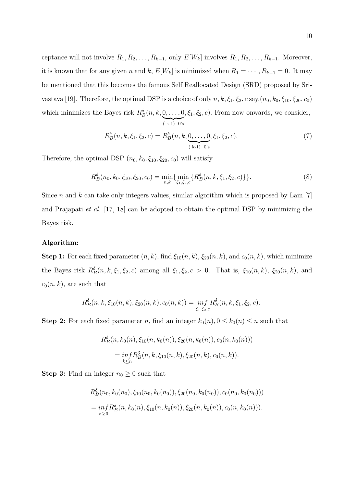ceptance will not involve  $R_1, R_2, \ldots, R_{k-1}$ , only  $E[W_k]$  involves  $R_1, R_2, \ldots, R_{k-1}$ . Moreover, it is known that for any given n and k,  $E[W_k]$  is minimized when  $R_1 = \cdots, R_{k-1} = 0$ . It may be mentioned that this becomes the famous Self Reallocated Design (SRD) proposed by Srivastava [19]. Therefore, the optimal DSP is a choice of only  $n, k, \xi_1, \xi_2, c$  say,  $(n_0, k_0, \xi_{10}, \xi_{20}, c_0)$ which minimizes the Bayes risk  $R_B^{\delta}(n, k, 0, \ldots, 0)$  $(k-1)$   $0's$  $, \xi_1, \xi_2, c$ . From now onwards, we consider,

$$
R_B^{\delta}(n, k, \xi_1, \xi_2, c) = R_B^{\delta}(n, k, \underbrace{0, \dots, 0}_{(k-1)\ 0's}, \xi_1, \xi_2, c). \tag{7}
$$

Therefore, the optimal DSP  $(n_0, k_0, \xi_{10}, \xi_{20}, c_0)$  will satisfy

$$
R_B^{\delta}(n_0, k_0, \xi_{10}, \xi_{20}, c_0) = \min_{n,k} \{ \min_{\xi_1, \xi_2, c} \{ R_B^{\delta}(n, k, \xi_1, \xi_2, c) \} \}.
$$
 (8)

Since n and k can take only integers values, similar algorithm which is proposed by Lam  $[7]$ and Prajapati *et al.* [17, 18] can be adopted to obtain the optimal DSP by minimizing the Bayes risk.

#### Algorithm:

**Step 1:** For each fixed parameter  $(n, k)$ , find  $\xi_{10}(n, k)$ ,  $\xi_{20}(n, k)$ , and  $c_0(n, k)$ , which minimize the Bayes risk  $R_{B}^{\delta}(n, k, \xi_1, \xi_2, c)$  among all  $\xi_1, \xi_2, c > 0$ . That is,  $\xi_{10}(n, k)$ ,  $\xi_{20}(n, k)$ , and  $c_0(n, k)$ , are such that

$$
R_B^{\delta}(n, k, \xi_{10}(n, k), \xi_{20}(n, k), c_0(n, k)) = \inf_{\xi_1, \xi_2, c} R_B^{\delta}(n, k, \xi_1, \xi_2, c).
$$

**Step 2:** For each fixed parameter n, find an integer  $k_0(n)$ ,  $0 \le k_0(n) \le n$  such that

$$
R_B^{\delta}(n, k_0(n), \xi_{10}(n, k_0(n)), \xi_{20}(n, k_0(n)), c_0(n, k_0(n)))
$$
  
= 
$$
\inf_{k \le n} R_B^{\delta}(n, k, \xi_{10}(n, k), \xi_{20}(n, k), c_0(n, k)).
$$

**Step 3:** Find an integer  $n_0 \geq 0$  such that

$$
R_B^{\delta}(n_0, k_0(n_0), \xi_{10}(n_0, k_0(n_0)), \xi_{20}(n_0, k_0(n_0)), c_0(n_0, k_0(n_0)))
$$
  
= 
$$
\inf_{n\geq 0} R_B^{\delta}(n, k_0(n), \xi_{10}(n, k_0(n)), \xi_{20}(n, k_0(n)), c_0(n, k_0(n))).
$$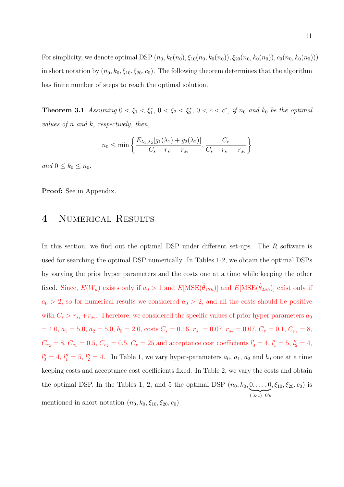For simplicity, we denote optimal DSP  $(n_0, k_0(n_0), \xi_{10}(n_0, k_0(n_0)), \xi_{20}(n_0, k_0(n_0)), c_0(n_0, k_0(n_0)))$ in short notation by  $(n_0, k_0, \xi_{10}, \xi_{20}, c_0)$ . The following theorem determines that the algorithm has finite number of steps to reach the optimal solution.

**Theorem 3.1** Assuming  $0 < \xi_1 < \xi_1^*$ ,  $0 < \xi_2 < \xi_2^*$ ,  $0 < c < c^*$ , if  $n_0$  and  $k_0$  be the optimal *values of* n *and* k*, respectively, then,*

$$
n_0 \le \min\left\{ \frac{E_{\lambda_1,\lambda_2}[g_1(\lambda_1) + g_2(\lambda_2)]}{C_s - r_{s_1} - r_{s_2}}, \frac{C_r}{C_s - r_{s_1} - r_{s_2}} \right\}
$$

*and*  $0 \leq k_0 \leq n_0$ .

Proof: See in Appendix.

## 4 NUMERICAL RESULTS

In this section, we find out the optimal DSP under different set-ups. The R software is used for searching the optimal DSP numerically. In Tables 1-2, we obtain the optimal DSPs by varying the prior hyper parameters and the costs one at a time while keeping the other fixed. Since,  $E(W_k)$  exists only if  $a_0 > 1$  and  $E[\text{MSE}(\hat{\theta}_{1Sh})]$  and  $E[\text{MSE}(\hat{\theta}_{2Sh})]$  exist only if  $a_0 > 2$ , so for numerical results we considered  $a_0 > 2$ , and all the costs should be positive with  $C_s > r_{s_1} + r_{s_2}$ . Therefore, we considered the specific values of prior hyper parameters  $a_0$  $= 4.0, a_1 = 5.0, a_2 = 5.0, b_0 = 2.0, \text{ costs } C_s = 0.16, r_{s_1} = 0.07, r_{s_2} = 0.07, C_\tau = 0.1, C_{r_1} = 8,$  $C_{r_2} = 8, C_{e_1} = 0.5, C_{e_2} = 0.5, C_r = 25$  and acceptance cost coefficients  $l'_0 = 4, l'_1 = 5, l'_2 = 4,$  $l''_0 = 4$ ,  $l''_1 = 5$ ,  $l''_2 = 4$ . In Table 1, we vary hyper-parameters  $a_0$ ,  $a_1$ ,  $a_2$  and  $b_0$  one at a time keeping costs and acceptance cost coefficients fixed. In Table 2, we vary the costs and obtain the optimal DSP. In the Tables 1, 2, and 5 the optimal DSP  $(n_0, k_0, 0, \ldots, 0)$  $(k-1)$   $0's$ ,  $\xi_{10}, \xi_{20}, c_0$ ) is mentioned in short notation  $(n_0, k_0, \xi_{10}, \xi_{20}, c_0)$ .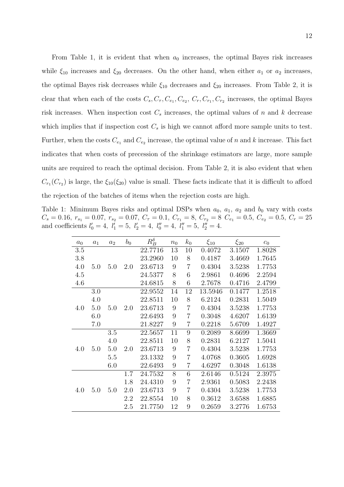From Table 1, it is evident that when  $a_0$  increases, the optimal Bayes risk increases while  $\xi_{10}$  increases and  $\xi_{20}$  decreases. On the other hand, when either  $a_1$  or  $a_2$  increases, the optimal Bayes risk decreases while  $\xi_{10}$  decreases and  $\xi_{20}$  increases. From Table 2, it is clear that when each of the costs  $C_s, C_\tau, C_{e_1}, C_{e_2}, C_r, C_{r_1}, C_{r_2}$  increases, the optimal Bayes risk increases. When inspection cost  $C_s$  increases, the optimal values of n and k decrease which implies that if inspection cost  $C_s$  is high we cannot afford more sample units to test. Further, when the costs  $C_{e_1}$  and  $C_{e_2}$  increase, the optimal value of n and k increase. This fact indicates that when costs of precession of the shrinkage estimators are large, more sample units are required to reach the optimal decision. From Table 2, it is also evident that when  $C_{r_1}(C_{r_2})$  is large, the  $\xi_{10}(\xi_{20})$  value is small. These facts indicate that it is difficult to afford the rejection of the batches of items when the rejection costs are high.

Table 1: Minimum Bayes risks and optimal DSPs when  $a_0$ ,  $a_1$ ,  $a_2$  and  $b_0$  vary with costs  $C_s = 0.16, r_{s_1} = 0.07, r_{s_2} = 0.07, C_\tau = 0.1, C_{r_1} = 8, C_{r_2} = 8, C_{e_1} = 0.5, C_{e_2} = 0.5, C_r = 25$ and coefficients  $l'_0 = 4$ ,  $l'_1 = 5$ ,  $l'_2 = 4$ ,  $l''_0 = 4$ ,  $l''_1 = 5$ ,  $l''_2 = 4$ .

| $a_0$ | $a_1$ | $a_2$      | $b_0$ | $R_B^{\delta}$ | $n_0$ | $k_0$          | $\xi_{10}$ | $\xi_{20}$ | $c_0$  |
|-------|-------|------------|-------|----------------|-------|----------------|------------|------------|--------|
| 3.5   |       |            |       | 22.7716        | 13    | 10             | 0.4072     | 3.1507     | 1.8028 |
| 3.8   |       |            |       | 23.2960        | 10    | 8              | 0.4187     | 3.4669     | 1.7645 |
|       |       |            |       | 23.6713        | 9     | $\overline{7}$ | 0.4304     | 3.5238     | 1.7753 |
| 4.0   | 5.0   | 5.0        | 2.0   |                |       |                |            |            |        |
| 4.5   |       |            |       | 24.5377        | 8     | 6              | 2.9861     | 0.4696     | 2.2594 |
| 4.6   |       |            |       | 24.6815        | 8     | 6              | 2.7678     | 0.4716     | 2.4799 |
|       | 3.0   |            |       | 22.9552        | 14    | 12             | 13.5946    | 0.1477     | 1.2518 |
|       | 4.0   |            |       | 22.8511        | 10    | 8              | 6.2124     | 0.2831     | 1.5049 |
| 4.0   | 5.0   | 5.0        | 2.0   | 23.6713        | 9     | $\overline{7}$ | 0.4304     | 3.5238     | 1.7753 |
|       | 6.0   |            |       | 22.6493        | 9     | $\overline{7}$ | 0.3048     | 4.6207     | 1.6139 |
|       | 7.0   |            |       | 21.8227        | 9     | 7              | 0.2218     | 5.6709     | 1.4927 |
| 4.0   |       | 3.5        | 2.0   | 22.5657        | 11    | 9              | 0.2089     | 8.6699     | 1.3669 |
|       |       | 4.0        |       | 22.8511        | 10    | 8              | 0.2831     | 6.2127     | 1.5041 |
|       | 5.0   | 5.0        |       | 23.6713        | 9     | $\overline{7}$ | 0.4304     | 3.5238     | 1.7753 |
|       |       | 5.5<br>6.0 |       | 23.1332        | 9     | 7              | 4.0768     | 0.3605     | 1.6928 |
|       |       |            |       | 22.6493        | 9     | 7              | 4.6297     | 0.3048     | 1.6138 |
|       |       |            | 1.7   | 24.7532        | 8     | 6              | 2.6146     | 0.5124     | 2.3975 |
| 4.0   |       |            | 1.8   | 24.4310        | 9     | $\overline{7}$ | 2.9361     | 0.5083     | 2.2438 |
|       | 5.0   | 5.0        | 2.0   | 23.6713        | 9     | 7              | 0.4304     | 3.5238     | 1.7753 |
|       |       |            | 2.2   | 22.8554        | 10    | 8              | 0.3612     | 3.6588     | 1.6885 |
|       |       |            | 2.5   | 21.7750        | 12    | 9              | 0.2659     | 3.2776     | 1.6753 |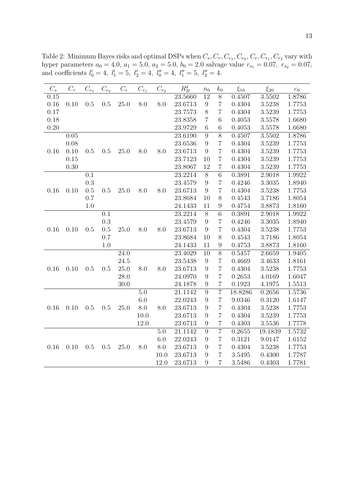Table 2: Minimum Bayes risks and optimal DSPs when  $C_s, C_\tau, C_{e_1}, C_{e_2}, C_r, C_{r_1}, C_{r_2}$  vary with hyper parameters  $a_0 = 4.0, a_1 = 5.0, a_2 = 5.0, b_0 = 2.0$  salvage value  $r_{s_1} = 0.07, r_{s_2} = 0.07$ , and coefficients  $l'_0 = 4$ ,  $l'_1 = 5$ ,  $l'_2 = 4$ ,  $l''_0 = 4$ ,  $l''_1 = 5$ ,  $l''_2 = 4$ .

| $C_{s}% ^{r}C_{s}^{r}$ | $C_\tau$ | $C_{e_{\underline{1}}}$ | $\mathcal{C}_{e_2}$ | $C_r$             | $\mathcal{C}_{r_1}$ | $C_{r_2}$ | $R_B^{\delta}$ | $\,n_0$          | $k_0$            | $\xi_{10}$ | $\xi_{20}$ | $\ensuremath{\mathnormal{c}}_0$ |
|------------------------|----------|-------------------------|---------------------|-------------------|---------------------|-----------|----------------|------------------|------------------|------------|------------|---------------------------------|
| 0.15                   |          |                         |                     |                   |                     |           | 23.5660        | $\overline{12}$  | $\overline{8}$   | 0.4507     | 3.5502     | 1.8786                          |
| 0.16                   | 0.10     | 0.5                     | 0.5                 | 25.0              | $8.0\,$             | 8.0       | 23.6713        | $\boldsymbol{9}$ | $\overline{7}$   | 0.4304     | 3.5238     | 1.7753                          |
| 0.17                   |          |                         |                     |                   |                     |           | 23.7573        | $8\,$            | $\overline{7}$   | 0.4304     | 3.5239     | 1.7753                          |
| 0.18                   |          |                         |                     |                   |                     |           | $23.8358\,$    | $\overline{7}$   | $\,$ 6 $\,$      | 0.4053     | 3.5578     | 1.6680                          |
| 0.20                   |          |                         |                     |                   |                     |           | 23.9729        | $\,$ 6 $\,$      | $\,$ 6 $\,$      | 0.4053     | 3.5578     | 1.6680                          |
|                        | $0.05\,$ |                         |                     |                   |                     |           | 23.6190        | $\boldsymbol{9}$ | $\overline{8}$   | 0.4507     | 3.5502     | 1.8786                          |
|                        | 0.08     |                         |                     |                   |                     |           | 23.6536        | $\boldsymbol{9}$ | $\overline{7}$   | 0.4304     | 3.5239     | 1.7753                          |
| 0.16                   | 0.10     | 0.5                     | 0.5                 | 25.0              | $8.0\,$             | $8.0\,$   | 23.6713        | $\boldsymbol{9}$ | $\overline{7}$   | 0.4304     | 3.5239     | 1.7753                          |
|                        | 0.15     |                         |                     |                   |                     |           | 23.7123        | 10               | $\overline{7}$   | 0.4304     | 3.5239     | 1.7753                          |
|                        | $0.30\,$ |                         |                     |                   |                     |           | 23.8067        | 12               | $\overline{7}$   | 0.4304     | 3.5239     | 1.7753                          |
|                        |          | 0.1                     |                     |                   |                     |           | 23.2214        | $\overline{8}$   | $\overline{6}$   | 0.3891     | 2.9018     | 1.9922                          |
|                        |          | 0.3                     |                     |                   |                     |           | 23.4579        | $\boldsymbol{9}$ | $\overline{7}$   | 0.4246     | 3.3035     | 1.8940                          |
| 0.16                   | 0.10     | $0.5\,$                 | 0.5                 | 25.0              | $8.0\,$             | 8.0       | 23.6713        | $\boldsymbol{9}$ | $\overline{7}$   | 0.4304     | 3.5238     | 1.7753                          |
|                        |          | 0.7                     |                     |                   |                     |           | 23.8684        | 10               | 8                | 0.4543     | 3.7186     | 1.8054                          |
|                        |          | 1.0                     |                     |                   |                     |           | 24.1433        | 11               | $9\,$            | 0.4754     | 3.8873     | 1.8160                          |
|                        |          |                         | 0.1                 |                   |                     |           | 23.2214        | $\overline{8}$   | $\overline{6}$   | 0.3891     | 2.9018     | 1.9922                          |
|                        |          |                         | 0.3                 |                   |                     |           | 23.4579        | $\boldsymbol{9}$ | $\overline{7}$   | 0.4246     | 3.3035     | 1.8940                          |
| 0.16                   | 0.10     | $0.5\,$                 | 0.5                 | 25.0              | 8.0                 | 8.0       | 23.6713        | 9                | $\overline{7}$   | 0.4304     | 3.5238     | 1.7753                          |
|                        |          |                         | 0.7                 |                   |                     |           | 23.8684        | 10               | 8                | 0.4543     | 3.7186     | 1.8054                          |
|                        |          |                         | 1.0                 |                   |                     |           | 24.1433        | 11               | $\boldsymbol{9}$ | 0.4753     | 3.8873     | 1.8160                          |
|                        |          |                         |                     | $\overline{2}4.0$ |                     |           | 23.4029        | 10               | $\overline{8}$   | 0.5457     | 2.6659     | 1.9405                          |
|                        |          |                         |                     | 24.5              |                     |           | 23.5438        | $\boldsymbol{9}$ | $\overline{7}$   | 0.4669     | 3.4633     | 1.8161                          |
| 0.16                   | 0.10     | $0.5\,$                 | 0.5                 | $25.0\,$          | 8.0                 | 8.0       | 23.6713        | $\boldsymbol{9}$ | $\overline{7}$   | 0.4304     | 3.5238     | 1.7753                          |
|                        |          |                         |                     | 28.0              |                     |           | 24.0970        | $\boldsymbol{9}$ | $\overline{7}$   | 0.2653     | 4.0169     | 1.6047                          |
|                        |          |                         |                     | 30.0              |                     |           | 24.1878        | $\boldsymbol{9}$ | $\overline{7}$   | 0.1923     | 4.1975     | 1.5513                          |
|                        |          |                         |                     |                   | 5.0                 |           | 21.1142        | $\overline{9}$   | $\overline{7}$   | 18.8286    | 0.2656     | 1.5736                          |
|                        |          |                         |                     |                   | $6.0\,$             |           | 22.0243        | $\boldsymbol{9}$ | $\overline{7}$   | 9.0346     | 0.3120     | 1.6147                          |
| 0.16                   | 0.10     | $0.5\,$                 | 0.5                 | 25.0              | $8.0\,$             | $8.0\,$   | 23.6713        | $\boldsymbol{9}$ | $\overline{7}$   | 0.4304     | 3.5238     | 1.7753                          |
|                        |          |                         |                     |                   | 10.0                |           | 23.6713        | $9\,$            | $\overline{7}$   | 0.4304     | 3.5239     | 1.7753                          |
|                        |          |                         |                     |                   | 12.0                |           | 23.6713        | $\boldsymbol{9}$ | $\overline{7}$   | 0.4303     | 3.5536     | 1.7778                          |
|                        |          |                         |                     |                   |                     | $5.0\,$   | 21.1142        | $\overline{9}$   | $\overline{7}$   | 0.2655     | 19.1839    | 1.5732                          |
|                        |          |                         |                     |                   |                     | $6.0\,$   | 22.0243        | $9\,$            | $\overline{7}$   | 0.3121     | 9.0147     | 1.6152                          |
| 0.16                   | 0.10     | $0.5\,$                 | 0.5                 | 25.0              | $8.0\,$             | $8.0\,$   | 23.6713        | $9\,$            | $\overline{7}$   | 0.4304     | 3.5238     | 1.7753                          |
|                        |          |                         |                     |                   |                     | 10.0      | 23.6713        | $9\,$            | $\overline{7}$   | 3.5495     | 0.4300     | 1.7787                          |
|                        |          |                         |                     |                   |                     | 12.0      | 23.6713        | 9                | $\overline{7}$   | 3.5486     | 0.4303     | 1.7781                          |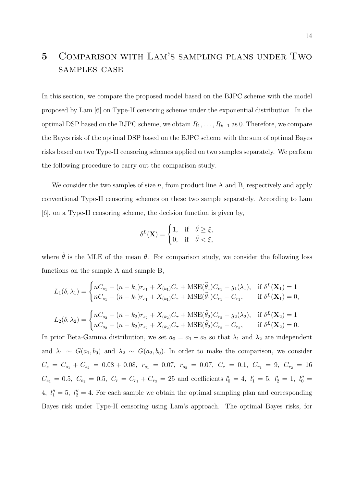## 5 Comparison with Lam's sampling plans under Two samples case

In this section, we compare the proposed model based on the BJPC scheme with the model proposed by Lam [6] on Type-II censoring scheme under the exponential distribution. In the optimal DSP based on the BJPC scheme, we obtain  $R_1, \ldots, R_{k-1}$  as 0. Therefore, we compare the Bayes risk of the optimal DSP based on the BJPC scheme with the sum of optimal Bayes risks based on two Type-II censoring schemes applied on two samples separately. We perform the following procedure to carry out the comparison study.

We consider the two samples of size  $n$ , from product line A and B, respectively and apply conventional Type-II censoring schemes on these two sample separately. According to Lam [6], on a Type-II censoring scheme, the decision function is given by,

$$
\delta^L(\mathbf{X}) = \begin{cases} 1, & \text{if } \hat{\theta} \ge \xi, \\ 0, & \text{if } \hat{\theta} < \xi, \end{cases}
$$

where  $\hat{\theta}$  is the MLE of the mean  $\theta$ . For comparison study, we consider the following loss functions on the sample A and sample B,

$$
L_{1}(\delta, \lambda_{1}) = \begin{cases} nC_{s_{1}} - (n - k_{1})r_{s_{1}} + X_{(k_{1})}C_{\tau} + \text{MSE}(\hat{\theta}_{1})C_{e_{1}} + g_{1}(\lambda_{1}), & \text{if } \delta^{L}(\mathbf{X}_{1}) = 1\\ nC_{s_{1}} - (n - k_{1})r_{s_{1}} + X_{(k_{1})}C_{\tau} + \text{MSE}(\hat{\theta}_{1})C_{e_{1}} + C_{r_{1}}, & \text{if } \delta^{L}(\mathbf{X}_{1}) = 0, \end{cases}
$$
  

$$
L_{2}(\delta, \lambda_{2}) = \begin{cases} nC_{s_{2}} - (n - k_{2})r_{s_{2}} + X_{(k_{2})}C_{\tau} + \text{MSE}(\hat{\theta}_{2})C_{e_{2}} + g_{2}(\lambda_{2}), & \text{if } \delta^{L}(\mathbf{X}_{2}) = 1\\ nC_{s_{2}} - (n - k_{2})r_{s_{2}} + X_{(k_{2})}C_{\tau} + \text{MSE}(\hat{\theta}_{2})C_{e_{2}} + C_{r_{2}}, & \text{if } \delta^{L}(\mathbf{X}_{2}) = 0. \end{cases}
$$

In prior Beta-Gamma distribution, we set  $a_0 = a_1 + a_2$  so that  $\lambda_1$  and  $\lambda_2$  are independent and  $\lambda_1 \sim G(a_1, b_0)$  and  $\lambda_2 \sim G(a_2, b_0)$ . In order to make the comparison, we consider  $C_s = C_{s_1} + C_{s_2} = 0.08 + 0.08, r_{s_1} = 0.07, r_{s_2} = 0.07, C_{\tau} = 0.1, C_{r_1} = 9, C_{r_2} = 16$  $C_{e_1} = 0.5, C_{e_2} = 0.5, C_r = C_{r_1} + C_{r_3} = 25$  and coefficients  $l'_0 = 4, l'_1 = 5, l'_2 = 1, l''_0 =$ 4,  $l''_1 = 5$ ,  $l''_2 = 4$ . For each sample we obtain the optimal sampling plan and corresponding Bayes risk under Type-II censoring using Lam's approach. The optimal Bayes risks, for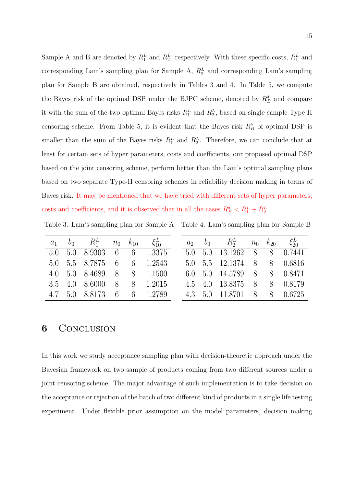Sample A and B are denoted by  $R_1^L$  and  $R_2^L$ , respectively. With these specific costs,  $R_1^L$  and corresponding Lam's sampling plan for Sample A,  $R_2^L$  and corresponding Lam's sampling plan for Sample B are obtained, respectively in Tables 3 and 4. In Table 5, we compute the Bayes risk of the optimal DSP under the BJPC scheme, denoted by  $R_B^{\delta}$  and compare it with the sum of the two optimal Bayes risks  $R_1^L$  and  $R_2^L$ , based on single sample Type-II censoring scheme. From Table 5, it is evident that the Bayes risk  $R_B^{\delta}$  of optimal DSP is smaller than the sum of the Bayes risks  $R_1^L$  and  $R_2^L$ . Therefore, we can conclude that at least for certain sets of hyper parameters, costs and coefficients, our proposed optimal DSP based on the joint censoring scheme, perform better than the Lam's optimal sampling plans based on two separate Type-II censoring schemes in reliability decision making in terms of Bayes risk. It may be mentioned that we have tried with different sets of hyper parameters, costs and coefficients, and it is observed that in all the cases  $R_B^{\delta} < R_1^L + R_2^L$ .

Table 4: Lam's sampling plan for Sample B

|  | $a_1$ $b_0$ $R_1^L$ $n_0$ $k_{10}$ $\xi_{10}^L$ |  |                           |  | $a_2$ $b_0$ $R_2^L$ $n_0$ $k_{20}$ $\xi_{20}^L$ |  |  |
|--|-------------------------------------------------|--|---------------------------|--|-------------------------------------------------|--|--|
|  | 5.0 5.0 8.9303 6 6 1.3375                       |  |                           |  | 5.0 5.0 13.1262 8 8 0.7441                      |  |  |
|  | 5.0 5.5 8.7875 6 6 1.2543                       |  |                           |  | 5.0 5.5 12.1374 8 8 0.6816                      |  |  |
|  | 4.0 5.0 8.4689 8 8 1.1500                       |  |                           |  | 6.0 5.0 14.5789 8 8 0.8471                      |  |  |
|  | 3.5 4.0 8.6000 8 8 1.2015                       |  |                           |  | 4.5 4.0 13.8375 8 8 0.8179                      |  |  |
|  |                                                 |  | 4.7 5.0 8.8173 6 6 1.2789 |  | 4.3 5.0 11.8701 8 8 0.6725                      |  |  |

### **6** CONCLUSION

In this work we study acceptance sampling plan with decision-theoretic approach under the Bayesian framework on two sample of products coming from two different sources under a joint censoring scheme. The major advantage of such implementation is to take decision on the acceptance or rejection of the batch of two different kind of products in a single life testing experiment. Under flexible prior assumption on the model parameters, decision making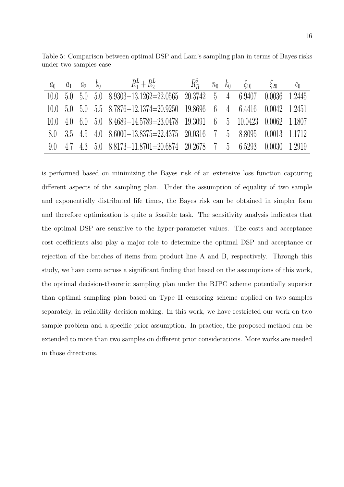| $a_0$ |  | $a_1 \quad a_2 \quad b_0$ | $R_1^L + R_2^L$                                                                                | $R^{\delta}_{\scriptscriptstyle{P}}$ | $n_0$ $k_0$ | $\xi_{10}$ | $\xi_{20}$ | $c_0$ |
|-------|--|---------------------------|------------------------------------------------------------------------------------------------|--------------------------------------|-------------|------------|------------|-------|
|       |  |                           | $10.0$ $5.0$ $5.0$ $5.0$ $8.9303+13.1262=22.0565$ $20.3742$ $5$ $4$ $6.9407$ $0.0036$ $1.2445$ |                                      |             |            |            |       |
|       |  |                           | $10.0$ $5.0$ $5.0$ $5.5$ $8.7876+12.1374=20.9250$ $19.8696$ $6$ $4$ $6.4416$ $0.0042$ $1.2451$ |                                      |             |            |            |       |
|       |  |                           | 10.0 4.0 6.0 5.0 8.4689+14.5789=23.0478 19.3091 6 5 10.0423 0.0062 1.1807                      |                                      |             |            |            |       |
|       |  |                           | 8.0 3.5 4.5 4.0 8.6000+13.8375=22.4375 20.0316 7 5 8.8095 0.0013 1.1712                        |                                      |             |            |            |       |
|       |  |                           | 9.0 4.7 4.3 5.0 $8.8173+11.8701=20.6874$ 20.2678 7 5 6.5293 0.0030 1.2919                      |                                      |             |            |            |       |

Table 5: Comparison between optimal DSP and Lam's sampling plan in terms of Bayes risks under two samples case

is performed based on minimizing the Bayes risk of an extensive loss function capturing different aspects of the sampling plan. Under the assumption of equality of two sample and exponentially distributed life times, the Bayes risk can be obtained in simpler form and therefore optimization is quite a feasible task. The sensitivity analysis indicates that the optimal DSP are sensitive to the hyper-parameter values. The costs and acceptance cost coefficients also play a major role to determine the optimal DSP and acceptance or rejection of the batches of items from product line A and B, respectively. Through this study, we have come across a significant finding that based on the assumptions of this work, the optimal decision-theoretic sampling plan under the BJPC scheme potentially superior than optimal sampling plan based on Type II censoring scheme applied on two samples separately, in reliability decision making. In this work, we have restricted our work on two sample problem and a specific prior assumption. In practice, the proposed method can be extended to more than two samples on different prior considerations. More works are needed in those directions.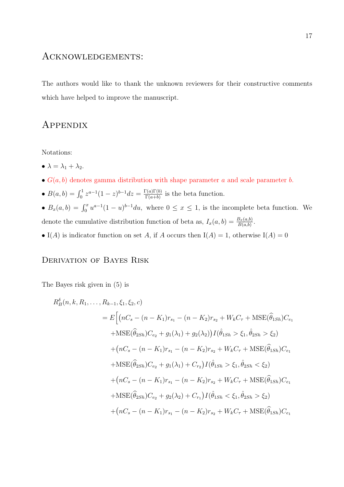### Acknowledgements:

The authors would like to thank the unknown reviewers for their constructive comments which have helped to improve the manuscript.

## **APPENDIX**

Notations:

- $\lambda = \lambda_1 + \lambda_2$ .
- $G(a, b)$  denotes gamma distribution with shape parameter a and scale parameter b.
- $B(a, b) = \int_0^1 z^{a-1} (1-z)^{b-1} dz = \frac{\Gamma(a)\Gamma(b)}{\Gamma(a+b)}$  $\frac{(a) \Gamma(b)}{\Gamma(a+b)}$  is the beta function.
- $B_x(a, b) = \int_0^x u^{a-1}(1-u)^{b-1}du$ , where  $0 \le x \le 1$ , is the incomplete beta function. We denote the cumulative distribution function of beta as,  $I_x(a, b) = \frac{B_x(a, b)}{B(a, b)}$ .
- I(A) is indicator function on set A, if A occurs then  $I(A) = 1$ , otherwise  $I(A) = 0$

### Derivation of Bayes Risk

The Bayes risk given in (5) is

$$
R_B^{\delta}(n, k, R_1, \dots, R_{k-1}, \xi_1, \xi_2, c)
$$
  
=  $E\Big[(nC_s - (n - K_1)r_{s_1} - (n - K_2)r_{s_2} + W_kC_{\tau} + \text{MSE}(\hat{\theta}_{1Sh})C_{e_1} + \text{MSE}(\hat{\theta}_{2Sh})C_{e_2} + g_1(\lambda_1) + g_2(\lambda_2)\Big)I(\hat{\theta}_{1Sh} > \xi_1, \hat{\theta}_{2Sh} > \xi_2)$   
+  $(nC_s - (n - K_1)r_{s_1} - (n - K_2)r_{s_2} + W_kC_{\tau} + \text{MSE}(\hat{\theta}_{1Sh})C_{e_1} + \text{MSE}(\hat{\theta}_{2Sh})C_{e_2} + g_1(\lambda_1) + C_{r_2}\Big)I(\hat{\theta}_{1Sh} > \xi_1, \hat{\theta}_{2Sh} < \xi_2)$   
+  $(nC_s - (n - K_1)r_{s_1} - (n - K_2)r_{s_2} + W_kC_{\tau} + \text{MSE}(\hat{\theta}_{1Sh})C_{e_1} + \text{MSE}(\hat{\theta}_{2Sh})C_{e_2} + g_2(\lambda_2) + C_{r_1}\Big)I(\hat{\theta}_{1Sh} < \xi_1, \hat{\theta}_{2Sh} > \xi_2)$   
+  $(nC_s - (n - K_1)r_{s_1} - (n - K_2)r_{s_2} + W_kC_{\tau} + \text{MSE}(\hat{\theta}_{1Sh})C_{e_1}$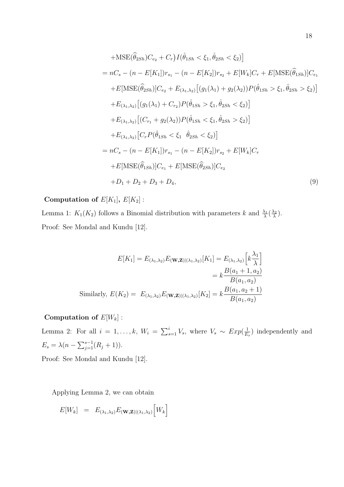+MSE(
$$
\hat{\theta}_{2Sh}
$$
) $C_{e_2} + C_r$ ) $I(\hat{\theta}_{1Sh} < \xi_1, \hat{\theta}_{2Sh} < \xi_2$ )]  
\n=  $nC_s - (n - E[K_1])r_{s_1} - (n - E[K_2])r_{s_2} + E[W_k]C_\tau + E[\text{MSE}(\hat{\theta}_{1Sh})]C_{e_1}$   
\n+  $E[\text{MSE}(\hat{\theta}_{2Sh})]C_{e_2} + E_{(\lambda_1, \lambda_2)}[(g_1(\lambda_1) + g_2(\lambda_2))P(\hat{\theta}_{1Sh} > \xi_1, \hat{\theta}_{2Sh} > \xi_2)]$   
\n+  $E_{(\lambda_1, \lambda_2)}[(g_1(\lambda_1) + C_{r_2})P(\hat{\theta}_{1Sh} > \xi_1, \hat{\theta}_{2Sh} < \xi_2)]$   
\n+  $E_{(\lambda_1, \lambda_2)}[(C_{r_1} + g_2(\lambda_2))P(\hat{\theta}_{1Sh} < \xi_1, \hat{\theta}_{2Sh} > \xi_2)]$   
\n+  $E_{(\lambda_1, \lambda_2)}[C_r P(\hat{\theta}_{1Sh} < \xi_1 \hat{\theta}_{2Sh} < \xi_2)]$   
\n=  $nC_s - (n - E[K_1])r_{s_1} - (n - E[K_2])r_{s_2} + E[W_k]C_\tau$   
\n+  $E[\text{MSE}(\hat{\theta}_{1Sh})]C_{e_1} + E[\text{MSE}(\hat{\theta}_{2Sh})]C_{e_2}$   
\n+  $D_1 + D_2 + D_3 + D_4$ , (9)

Computation of  $E[K_1], E[K_2]$ :

Lemma 1:  $K_1(K_2)$  follows a Binomial distribution with parameters k and  $\frac{\lambda_1}{\lambda}(\frac{\lambda_2}{\lambda})$  $\frac{\lambda_2}{\lambda}$ ). Proof: See Mondal and Kundu [12].

$$
E[K_1] = E_{(\lambda_1, \lambda_2)} E(\mathbf{w}, \mathbf{z}) | (\lambda_1, \lambda_2) [K_1] = E_{(\lambda_1, \lambda_2)} \left[ k \frac{\lambda_1}{\lambda} \right]
$$
  
=  $k \frac{B(a_1 + 1, a_2)}{B(a_1, a_2)}$   
Similarly,  $E(K_2) = E_{(\lambda_1, \lambda_2)} E(\mathbf{w}, \mathbf{z}) | (\lambda_1, \lambda_2) [K_2] = k \frac{B(a_1, a_2 + 1)}{B(a_1, a_2)}$ 

## Computation of  $\mathbb{E}[W_k]$  :

Lemma 2: For all  $i = 1, ..., k$ ,  $W_i = \sum_{s=1}^{i} V_s$ , where  $V_s \sim Exp(\frac{1}{E_s})$  $\frac{1}{E_s}$ ) independently and  $E_s = \lambda (n - \sum_{j=1}^{s-1} (R_j + 1)).$ 

Proof: See Mondal and Kundu [12].

Applying Lemma 2, we can obtain

$$
E[W_k] = E_{(\lambda_1, \lambda_2)} E(\mathbf{w}, \mathbf{z}) | (\lambda_1, \lambda_2) [W_k]
$$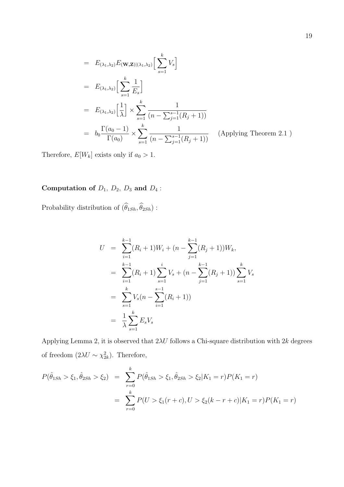$$
= E_{(\lambda_1, \lambda_2)} E(\mathbf{w}, \mathbf{z}) |(\lambda_1, \lambda_2) \left[ \sum_{s=1}^{k} V_s \right]
$$
  
\n
$$
= E_{(\lambda_1, \lambda_2)} \left[ \sum_{s=1}^{k} \frac{1}{E_s} \right]
$$
  
\n
$$
= E_{(\lambda_1, \lambda_2)} \left[ \frac{1}{\lambda} \right] \times \sum_{s=1}^{k} \frac{1}{(n - \sum_{j=1}^{s-1} (R_j + 1))}
$$
  
\n
$$
= b_0 \frac{\Gamma(a_0 - 1)}{\Gamma(a_0)} \times \sum_{s=1}^{k} \frac{1}{(n - \sum_{j=1}^{s-1} (R_j + 1))}
$$
 (Applying Theorem 2.1)

Therefore,  $E[W_k]$  exists only if  $a_0 > 1$ .

## Computation of  $D_1$ ,  $D_2$ ,  $D_3$  and  $D_4$ :

Probability distribution of  $(\widehat{\theta}_{1Sh}, \widehat{\theta}_{2Sh})$  :

$$
U = \sum_{i=1}^{k-1} (R_i + 1)W_i + (n - \sum_{j=1}^{k-1} (R_j + 1))W_k,
$$
  
\n
$$
= \sum_{i=1}^{k-1} (R_i + 1) \sum_{s=1}^{i} V_s + (n - \sum_{j=1}^{k-1} (R_j + 1)) \sum_{s=1}^{k} V_s
$$
  
\n
$$
= \sum_{s=1}^{k} V_s (n - \sum_{i=1}^{s-1} (R_i + 1))
$$
  
\n
$$
= \frac{1}{\lambda} \sum_{s=1}^{k} E_s V_s
$$

Applying Lemma 2, it is observed that  $2\lambda U$  follows a Chi-square distribution with  $2k$  degrees of freedom  $(2\lambda U \sim \chi^2_{2k})$ . Therefore,

$$
P(\hat{\theta}_{1Sh} > \xi_1, \hat{\theta}_{2Sh} > \xi_2) = \sum_{r=0}^{k} P(\hat{\theta}_{1Sh} > \xi_1, \hat{\theta}_{2Sh} > \xi_2 | K_1 = r) P(K_1 = r)
$$
  
= 
$$
\sum_{r=0}^{k} P(U > \xi_1(r+c), U > \xi_2(k-r+c) | K_1 = r) P(K_1 = r)
$$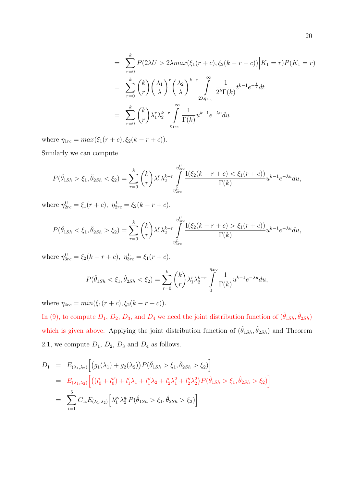$$
= \sum_{r=0}^{k} P(2\lambda U > 2\lambda max(\xi_1(r+c), \xi_2(k-r+c)) | K_1 = r) P(K_1 = r)
$$
  

$$
= \sum_{r=0}^{k} {k \choose r} \left(\frac{\lambda_1}{\lambda}\right)^r \left(\frac{\lambda_2}{\lambda}\right)^{k-r} \int_{2\lambda\eta_{1rc}}^{\infty} \frac{1}{2^k \Gamma(k)} t^{k-1} e^{-\frac{t}{2}} dt
$$
  

$$
= \sum_{r=0}^{k} {k \choose r} \lambda_1^r \lambda_2^{k-r} \int_{\eta_{1rc}}^{\infty} \frac{1}{\Gamma(k)} u^{k-1} e^{-\lambda u} du
$$

where  $\eta_{1rc} = max(\xi_1(r+c), \xi_2(k-r+c)).$ Similarly we can compute

$$
P(\hat{\theta}_{1Sh} > \xi_1, \hat{\theta}_{2Sh} < \xi_2) = \sum_{r=0}^{k} {k \choose r} \lambda_1^r \lambda_2^{k-r} \int_{\eta_{2rc}^L}^{\eta_{2rc}^U} \frac{I(\xi_2(k-r+c) < \xi_1(r+c))}{\Gamma(k)} u^{k-1} e^{-\lambda u} du,
$$

where  $\eta_{2rc}^U = \xi_1(r+c), \ \eta_{2rc}^L = \xi_2(k-r+c).$ 

$$
P(\hat{\theta}_{1Sh} < \xi_1, \hat{\theta}_{2Sh} > \xi_2) = \sum_{r=0}^k {k \choose r} \lambda_1^r \lambda_2^{k-r} \int_{\eta_{3rc}^L}^{\eta_{3rc}^{U}} \frac{\mathbf{I}(\xi_2(k-r+c) > \xi_1(r+c))}{\Gamma(k)} u^{k-1} e^{-\lambda u} du,
$$

where  $\eta_{3rc}^U = \xi_2(k - r + c)$ ,  $\eta_{3rc}^L = \xi_1(r + c)$ .

$$
P(\hat{\theta}_{1Sh} < \xi_1, \hat{\theta}_{2Sh} < \xi_2) = \sum_{r=0}^{k} {k \choose r} \lambda_1^r \lambda_2^{k-r} \int_{0}^{\eta_{4rc}} \frac{1}{\Gamma(k)} u^{k-1} e^{-\lambda u} du,
$$

where  $\eta_{4rc} = min(\xi_1(r+c), \xi_2(k-r+c)).$ 

In (9), to compute  $D_1, D_2, D_3$ , and  $D_4$  we need the joint distribution function of  $(\hat{\theta}_{1Sh}, \hat{\theta}_{2Sh})$ which is given above. Applying the joint distribution function of  $(\hat{\theta}_{1Sh}, \hat{\theta}_{2Sh})$  and Theorem 2.1, we compute  $D_1$ ,  $D_2$ ,  $D_3$  and  $D_4$  as follows.

$$
D_1 = E_{(\lambda_1, \lambda_2)} \Big[ \big( g_1(\lambda_1) + g_2(\lambda_2) \big) P(\hat{\theta}_{1Sh} > \xi_1, \hat{\theta}_{2Sh} > \xi_2) \Big]
$$
  
\n
$$
= E_{(\lambda_1, \lambda_2)} \Big[ \big( (l'_0 + l''_0) + l'_1 \lambda_1 + l''_1 \lambda_2 + l'_2 \lambda_1^2 + l''_2 \lambda_2^2 \big) P(\hat{\theta}_{1Sh} > \xi_1, \hat{\theta}_{2Sh} > \xi_2) \Big]
$$
  
\n
$$
= \sum_{i=1}^5 C_{1i} E_{(\lambda_1, \lambda_2)} \Big[ \lambda_1^{p_i} \lambda_2^{q_i} P(\hat{\theta}_{1Sh} > \xi_1, \hat{\theta}_{2Sh} > \xi_2) \Big]
$$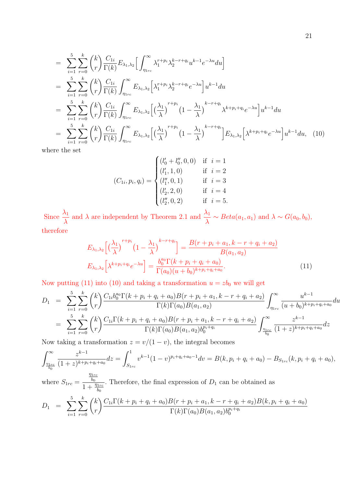$$
= \sum_{i=1}^{5} \sum_{r=0}^{k} {k \choose r} \frac{C_{1i}}{\Gamma(k)} E_{\lambda_{1},\lambda_{2}} \Big[ \int_{\eta_{1rc}}^{\infty} \lambda_{1}^{r+p_{i}} \lambda_{2}^{k-r+q_{i}} u^{k-1} e^{-\lambda u} du \Big]
$$
  
\n
$$
= \sum_{i=1}^{5} \sum_{r=0}^{k} {k \choose r} \frac{C_{1i}}{\Gamma(k)} \int_{\eta_{1rc}}^{\infty} E_{\lambda_{1},\lambda_{2}} \Big[ \lambda_{1}^{r+p_{i}} \lambda_{2}^{k-r+q_{i}} e^{-\lambda u} \Big] u^{k-1} du
$$
  
\n
$$
= \sum_{i=1}^{5} \sum_{r=0}^{k} {k \choose r} \frac{C_{1i}}{\Gamma(k)} \int_{\eta_{1rc}}^{\infty} E_{\lambda_{1},\lambda_{2}} \Big[ \Big( \frac{\lambda_{1}}{\lambda} \Big)^{r+p_{i}} \Big( 1 - \frac{\lambda_{1}}{\lambda} \Big)^{k-r+q_{i}} \lambda^{k+p_{i}+q_{i}} e^{-\lambda u} \Big] u^{k-1} du
$$
  
\n
$$
= \sum_{i=1}^{5} \sum_{r=0}^{k} {k \choose r} \frac{C_{1i}}{\Gamma(k)} \int_{\eta_{1rc}}^{\infty} E_{\lambda_{1},\lambda_{2}} \Big[ \Big( \frac{\lambda_{1}}{\lambda} \Big)^{r+p_{i}} \Big( 1 - \frac{\lambda_{1}}{\lambda} \Big)^{k-r+q_{i}} \Big] E_{\lambda_{1},\lambda_{2}} \Big[ \lambda^{k+p_{i}+q_{i}} e^{-\lambda u} \Big] u^{k-1} du, \quad (10)
$$

where the set

$$
(C_{1i}, p_i, q_i) = \begin{cases} (l'_0 + l''_0, 0, 0) & \text{if } i = 1 \\ (l'_1, 1, 0) & \text{if } i = 2 \\ (l''_1, 0, 1) & \text{if } i = 3 \\ (l'_2, 2, 0) & \text{if } i = 4 \\ (l''_2, 0, 2) & \text{if } i = 5. \end{cases}
$$

Since  $\frac{\lambda_1}{\sqrt{2}}$  $\lambda$ and  $\lambda$  are independent by Theorem 2.1 and  $\frac{\lambda_1}{\lambda_2}$  $\frac{\lambda_1}{\lambda} \sim Beta(a_1, a_1)$  and  $\lambda \sim G(a_0, b_0)$ , therefore

$$
E_{\lambda_1, \lambda_2} \left[ \left( \frac{\lambda_1}{\lambda} \right)^{r + p_i} \left( 1 - \frac{\lambda_1}{\lambda} \right)^{k - r + q_i} \right] = \frac{B(r + p_i + a_1, k - r + q_i + a_2)}{B(a_1, a_2)}
$$

$$
E_{\lambda_1, \lambda_2} \left[ \lambda^{k + p_i + q_i} e^{-\lambda u} \right] = \frac{b_0^{a_0} \Gamma(k + p_i + q_i + a_0)}{\Gamma(a_0)(u + b_0)^{k + p_i + q_i + a_0}}.
$$
(11)

Now putting (11) into (10) and taking a transformation  $u = zb_0$  we will get

$$
D_1 = \sum_{i=1}^{5} \sum_{r=0}^{k} {k \choose r} \frac{C_{1i}b_0^{a_0}\Gamma(k+p_i+q_i+a_0)B(r+p_i+a_1,k-r+q_i+a_2)}{\Gamma(k)\Gamma(a_0)B(a_1,a_2)} \int_{\eta_{1rc}}^{\infty} \frac{u^{k-1}}{(u+b_0)^{k+p_i+q_i+a_0}} du
$$
  

$$
= \sum_{i=1}^{5} \sum_{r=0}^{k} {k \choose r} \frac{C_{1i}\Gamma(k+p_i+q_i+a_0)B(r+p_i+a_1,k-r+q_i+a_2)}{\Gamma(k)\Gamma(a_0)B(a_1,a_2)b_0^{p_i+q_i}} \int_{\frac{\eta_{1rc}}{b_0}}^{\infty} \frac{z^{k-1}}{(1+z)^{k+p_i+q_i+a_0}} dz
$$

Now taking a transformation  $z = v/(1 - v)$ , the integral becomes

$$
\int_{\frac{\eta_{1rc}}{b_0}}^{\infty} \frac{z^{k-1}}{(1+z)^{k+p_i+q_i+a_0}} dz = \int_{S_{1rc}}^{1} v^{k-1} (1-v)^{p_i+q_i+a_0-1} dv = B(k, p_i+q_i+a_0) - B_{S_{1rc}}(k, p_i+q_i+a_0),
$$
\nwhere  $S_{-} = \frac{\eta_{1rc}}{b_0}$  Therefore the final expression of *D*, can be obtained as

where 
$$
S_{1rc} = \frac{b_0}{1 + \frac{\eta_{1rc}}{b_0}}
$$
. Therefore, the final expression of  $D_1$  can be obtained as  
\n
$$
D_1 = \sum_{i=1}^5 \sum_{r=0}^k {k \choose r} \frac{C_{1i} \Gamma(k + p_i + q_i + a_0) B(r + p_i + a_1, k - r + q_i + a_2) B(k, p_i + q_i + a_0)}{\Gamma(k) \Gamma(a_0) B(a_1, a_2) b_0^{p_i + q_i}}
$$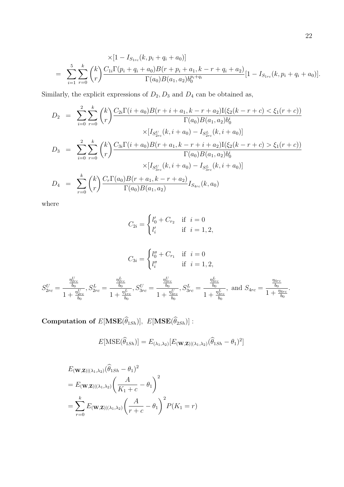$$
\times [1 - I_{S_{1rc}}(k, p_i + q_i + a_0)]
$$
  
= 
$$
\sum_{i=1}^{5} \sum_{r=0}^{k} {k \choose r} \frac{C_{1i} \Gamma(p_i + q_i + a_0) B(r + p_i + a_1, k - r + q_i + a_2)}{\Gamma(a_0) B(a_1, a_2) b_0^{p_i + q_i}} [1 - I_{S_{1rc}}(k, p_i + q_i + a_0)].
$$

Similarly, the explicit expressions of  $D_2, D_3$  and  $D_4$  can be obtained as,

$$
D_2 = \sum_{i=0}^{2} \sum_{r=0}^{k} {k \choose r} \frac{C_{2i} \Gamma(i+a_0)B(r+i+a_1, k-r+a_2) \Gamma(\xi_2(k-r+c) < \xi_1(r+c))}{\Gamma(a_0)B(a_1, a_2)b_0^i} \times [I_{S_{2rc}^U}(k, i+a_0) - I_{S_{2rc}^L}(k, i+a_0)]
$$
\n
$$
D_3 = \sum_{i=0}^{2} \sum_{r=0}^{k} {k \choose r} \frac{C_{3i} \Gamma(i+a_0)B(r+a_1, k-r+i+a_2) \Gamma(\xi_2(k-r+c) > \xi_1(r+c))}{\Gamma(a_0)B(a_1, a_2)b_0^i} \times [I_{S_{3rc}^U}(k, i+a_0) - I_{S_{3rc}^L}(k, i+a_0)]
$$
\n
$$
D_4 = \sum_{r=0}^{k} {k \choose r} \frac{C_r \Gamma(a_0)B(r+a_1, k-r+a_2)}{\Gamma(a_0)B(a_1, a_2)} I_{S_{4rc}}(k, a_0)
$$

where

$$
C_{2i} = \begin{cases} l'_0 + C_{r_2} & \text{if } i = 0\\ l'_i & \text{if } i = 1, 2, \end{cases}
$$

$$
C_{3i} = \begin{cases} l_0'' + C_{r_1} & \text{if } i = 0\\ l_i'' & \text{if } i = 1, 2, \end{cases}
$$

 $S^U_{2rc} =$  $\frac{\eta_{2rc}^U}{b_0}$  $1 + \frac{\eta_{2rc}^{U}}{b_0}$  $S_{2rc}^L =$  $\frac{\eta_{2rc}^L}{b_0}$  $1 + \frac{\eta_{1rc}^{L}}{b_0}$  $S_{3rc}^U =$  $\frac{\eta^U_{3rc}}{b_0}$  $1 + \frac{\eta_{3rc}^{U}}{b_0}$  $S_{3rc}^L =$  $\frac{\eta_{3rc}^L}{b_0}$  $1 + \frac{\eta_{3rc}^{L}}{b_0}$ , and  $S_{4rc}$  = η4rc  $b_0$  $\frac{\eta_{4rc}}{b_0}$ .

Computation of  $E[\mathbf{MSE}(\widehat{\theta}_{1Sh})], E[\mathbf{MSE}(\widehat{\theta}_{2Sh})]$ :

$$
E[\text{MSE}(\widehat{\theta}_{1Sh})] = E_{(\lambda_1, \lambda_2)}[E_{(\mathbf{W}, \mathbf{Z})|(\lambda_1, \lambda_2)}(\widehat{\theta}_{1Sh} - \theta_1)^2]
$$

$$
E(\mathbf{w}, \mathbf{z}) |(\lambda_1, \lambda_2) (\widehat{\theta}_{1Sh} - \theta_1)^2
$$
  
=  $E(\mathbf{w}, \mathbf{z}) |(\lambda_1, \lambda_2) (\frac{A}{K_1 + c} - \theta_1)^2$   
=  $\sum_{r=0}^k E(\mathbf{w}, \mathbf{z}) |(\lambda_1, \lambda_2) (\frac{A}{r + c} - \theta_1)^2 P(K_1 = r)$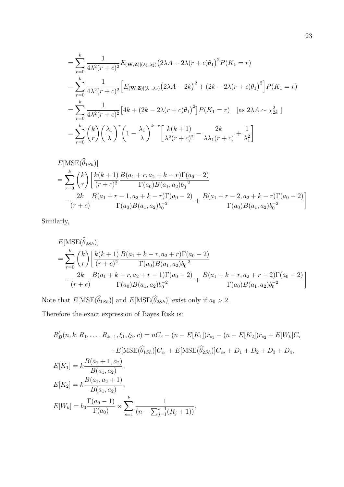$$
= \sum_{r=0}^{k} \frac{1}{4\lambda^{2}(r+c)^{2}} E_{(\mathbf{W},\mathbf{Z})|(\lambda_{1},\lambda_{2})} (2\lambda A - 2\lambda (r+c)\theta_{1})^{2} P(K_{1} = r)
$$
  
\n
$$
= \sum_{r=0}^{k} \frac{1}{4\lambda^{2}(r+c)^{2}} \Big[ E_{(\mathbf{W},\mathbf{Z})|(\lambda_{1},\lambda_{2})} (2\lambda A - 2k)^{2} + (2k - 2\lambda (r+c)\theta_{1})^{2} \Big] P(K_{1} = r)
$$
  
\n
$$
= \sum_{r=0}^{k} \frac{1}{4\lambda^{2}(r+c)^{2}} \Big[ 4k + (2k - 2\lambda (r+c)\theta_{1})^{2} \Big] P(K_{1} = r) \quad [\text{as } 2\lambda A \sim \chi^{2}_{2k}]
$$
  
\n
$$
= \sum_{r=0}^{k} {k \choose r} \Big( \frac{\lambda_{1}}{\lambda} \Big)^{r} \Big( 1 - \frac{\lambda_{1}}{\lambda} \Big)^{k-r} \Big[ \frac{k(k+1)}{\lambda^{2}(r+c)^{2}} - \frac{2k}{\lambda \lambda_{1}(r+c)} + \frac{1}{\lambda_{1}^{2}} \Big]
$$

$$
E[\text{MSE}(\hat{\theta}_{1Sh})]
$$
  
=  $\sum_{r=0}^{k} {k \choose r} \left[ \frac{k(k+1)B(a_1+r, a_2+k-r)\Gamma(a_0-2)}{\Gamma(a_0)B(a_1, a_2)b_0^{-2}} - \frac{2k}{(r+c)} \frac{B(a_1+r-1, a_2+k-r)\Gamma(a_0-2)}{\Gamma(a_0)B(a_1, a_2)b_0^{-2}} + \frac{B(a_1+r-2, a_2+k-r)\Gamma(a_0-2)}{\Gamma(a_0)B(a_1, a_2)b_0^{-2}} \right]$ 

Similarly,

$$
E[\text{MSE}(\widehat{\theta}_{2Sh})]
$$
  
=  $\sum_{r=0}^{k} {k \choose r} \left[ \frac{k(k+1)}{(r+c)^2} \frac{B(a_1 + k - r, a_2 + r) \Gamma(a_0 - 2)}{\Gamma(a_0) B(a_1, a_2) b_0^{-2}} - \frac{2k}{(r+c)} \frac{B(a_1 + k - r, a_2 + r - 1) \Gamma(a_0 - 2)}{\Gamma(a_0) B(a_1, a_2) b_0^{-2}} + \frac{B(a_1 + k - r, a_2 + r - 2) \Gamma(a_0 - 2)}{\Gamma(a_0) B(a_1, a_2) b_0^{-2}} \right]$ 

Note that  $E[\text{MSE}(\widehat{\theta}_{1Sh})]$  and  $E[\text{MSE}(\widehat{\theta}_{2Sh})]$  exist only if  $a_0 > 2$ . Therefore the exact expression of Bayes Risk is:

$$
R_B^{\delta}(n, k, R_1, \dots, R_{k-1}, \xi_1, \xi_2, c) = nC_s - (n - E[K_1])r_{s_1} - (n - E[K_2])r_{s_2} + E[W_k]C_{\tau}
$$
  
+
$$
E[\text{MSE}(\widehat{\theta}_{1Sh})]C_{e_1} + E[\text{MSE}(\widehat{\theta}_{2Sh})]C_{e_2} + D_1 + D_2 + D_3 + D_4,
$$
  

$$
E[K_1] = k \frac{B(a_1 + 1, a_2)}{B(a_1, a_2)},
$$
  

$$
E[K_2] = k \frac{B(a_1, a_2 + 1)}{B(a_1, a_2)},
$$
  

$$
E[W_k] = b_0 \frac{\Gamma(a_0 - 1)}{\Gamma(a_0)} \times \sum_{s=1}^k \frac{1}{(n - \sum_{j=1}^{s-1} (R_j + 1))},
$$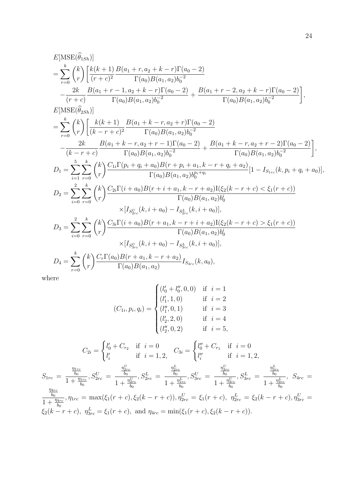$$
E[\text{MSE}(\hat{\theta}_{1Sh})]
$$
\n
$$
= \sum_{r=0}^{k} {k \choose r} \left[ \frac{k(k+1)}{(r+c)^2} \frac{B(a_1+r, a_2+k-r) \Gamma(a_0-2)}{\Gamma(a_0)B(a_1, a_2)b_0^{-2}} - \frac{2k}{(r+c)} \frac{B(a_1+r-1, a_2+k-r) \Gamma(a_0-2)}{\Gamma(a_0)B(a_1, a_2)b_0^{-2}} + \frac{B(a_1+r-2, a_2+k-r) \Gamma(a_0-2)}{\Gamma(a_0)B(a_1, a_2)b_0^{-2}} \right],
$$
\n
$$
E[\text{MSE}(\hat{\theta}_{2Sh})]
$$
\n
$$
= \sum_{r=0}^{k} {k \choose r} \left[ \frac{k(k+1)}{(k-r+c)^2} \frac{B(a_1+k-r, a_2+r) \Gamma(a_0-2)}{\Gamma(a_0)B(a_1, a_2)b_0^{-2}} + \frac{B(a_1+k-r, a_2+r-2) \Gamma(a_0-2)}{\Gamma(a_0)B(a_1, a_2)b_0^{-2}} - \frac{2k}{(k-r+c)} \frac{B(a_1+k-r, a_2+r-1) \Gamma(a_0-2)}{\Gamma(a_0)B(a_1, a_2)b_0^{-2}} + \frac{B(a_1+k-r, a_2+r-2) \Gamma(a_0-2)}{\Gamma(a_0)B(a_1, a_2)b_0^{-2}} \right],
$$
\n
$$
D_1 = \sum_{i=1}^{5} \sum_{r=0}^{k} {k \choose r} \frac{C_{1i} \Gamma(p_i+q_i+a_0)B(r+p_i+a_1, k-r+q_i+a_2)}{\Gamma(a_0)B(a_1, a_2)b_0^{k+lq_i}} [1 - I_{S_{1rc}}(k, p_i + q_i + a_0)],
$$
\n
$$
D_2 = \sum_{i=0}^{2} \sum_{r=0}^{k} {k \choose r} \frac{C_{2i} \Gamma(i+a_0)B(r+i+a_1, k-r+ia_2) \Gamma(\xi_2(k-r+c) - \xi_1(r+c))}{\Gamma(a_0)B(a_1, a_2)b_0^{k}} + \frac{k[I_{S_{2rc}}(k, i+a_0) - I_{S_{2rc}}(k, i+a_0)],
$$
\n
$$
D_3 = \sum_{i=0}^{2}
$$

where

$$
(C_{1i}, p_i, q_i) = \begin{cases} (l'_0 + l''_0, 0, 0) & \text{if } i = 1\\ (l'_1, 1, 0) & \text{if } i = 2\\ (l''_1, 0, 1) & \text{if } i = 3\\ (l'_2, 2, 0) & \text{if } i = 4\\ (l''_2, 0, 2) & \text{if } i = 5, \end{cases}
$$

$$
C_{2i} = \begin{cases} l'_0 + C_{r_2} & \text{if } i = 0\\ l'_i & \text{if } i = 1, 2, \end{cases}
$$

$$
C_{3i} = \begin{cases} l''_0 + C_{r_1} & \text{if } i = 0\\ l''_i & \text{if } i = 1, 2, \end{cases}
$$

$$
S_{1rc} = \frac{\frac{\eta_{1rc}}{b_0}}{1 + \frac{\eta_{1rc}}{b_0}}, S_{2rc}^L = \frac{\frac{\eta_{2rc}^L}{b_0}}{1 + \frac{\eta_{1rc}^L}{b_0}}, S_{3rc}^U = \frac{\frac{\eta_{3rc}^L}{b_0}}{1 + \frac{\eta_{3rc}^U}{b_0}}, S_{3rc}^L = \frac{\frac{\eta_{3rc}^L}{b_0}}{1 + \frac{\eta_{3rc}^L}{b_0}}, S_{4rc}^L = \frac{\eta_{3rc}^L}{b_0}
$$

 $b_0$  $\overline{1+\frac{\eta_{4rc}}{b_0}}$ ,  $\eta_{1rc} = \max(\xi_1(r+c), \xi_2(k-r+c)), \eta_{2rc}^U = \xi_1(r+c), \eta_{2rc}^L = \xi_2(k-r+c), \eta_{3rc}^U = \eta_{3rc}^U$  $\xi_2(k-r+c), \eta_{3rc}^L = \xi_1(r+c), \text{ and } \eta_{4rc} = \min(\xi_1(r+c), \xi_2(k-r+c)).$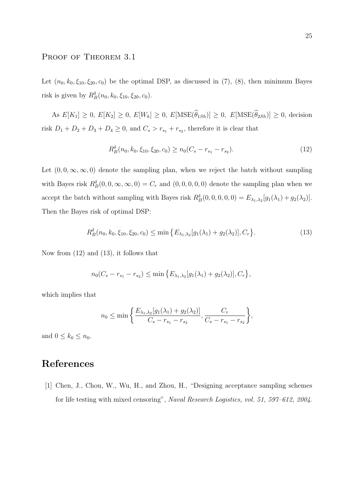#### PROOF OF THEOREM 3.1

Let  $(n_0, k_0, \xi_{10}, \xi_{20}, c_0)$  be the optimal DSP, as discussed in (7), (8), then minimum Bayes risk is given by  $R_B^{\delta}(n_0, k_0, \xi_{10}, \xi_{20}, c_0)$ .

As  $E[K_1] \geq 0$ ,  $E[K_2] \geq 0$ ,  $E[W_k] \geq 0$ ,  $E[\text{MSE}(\widehat{\theta}_{1Sh})] \geq 0$ ,  $E[\text{MSE}(\widehat{\theta}_{2Sh})] \geq 0$ , decision risk  $D_1 + D_2 + D_3 + D_4 \geq 0$ , and  $C_s > r_{s_1} + r_{s_2}$ , therefore it is clear that

$$
R_B^{\delta}(n_0, k_0, \xi_{10}, \xi_{20}, c_0) \ge n_0(C_s - r_{s_1} - r_{s_2}).
$$
\n(12)

Let  $(0, 0, \infty, \infty, 0)$  denote the sampling plan, when we reject the batch without sampling with Bayes risk  $R_B^{\delta}(0,0,\infty,\infty,0) = C_r$  and  $(0,0,0,0,0)$  denote the sampling plan when we accept the batch without sampling with Bayes risk  $R_B^{\delta}(0,0,0,0,0) = E_{\lambda_1,\lambda_2}[g_1(\lambda_1) + g_2(\lambda_2)].$ Then the Bayes risk of optimal DSP:

$$
R_B^{\delta}(n_0, k_0, \xi_{10}, \xi_{20}, c_0) \le \min\left\{E_{\lambda_1, \lambda_2}[g_1(\lambda_1) + g_2(\lambda_2)], C_r\right\}.
$$
 (13)

Now from (12) and (13), it follows that

$$
n_0(C_s - r_{s_1} - r_{s_2}) \le \min\left\{E_{\lambda_1, \lambda_2}[g_1(\lambda_1) + g_2(\lambda_2)], C_r\right\},\,
$$

which implies that

$$
n_0 \le \min\left\{\frac{E_{\lambda_1,\lambda_2}[g_1(\lambda_1)+g_2(\lambda_2)]}{C_s - r_{s_1} - r_{s_2}}, \frac{C_r}{C_s - r_{s_1} - r_{s_2}}\right\},\,
$$

and  $0 \leq k_0 \leq n_0$ .

## References

[1] Chen, J., Chou, W., Wu, H., and Zhou, H., "Designing acceptance sampling schemes for life testing with mixed censoring", *Naval Research Logistics, vol. 51, 597–612, 2004*.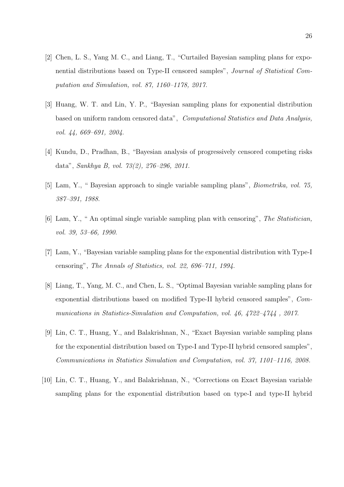- [2] Chen, L. S., Yang M. C., and Liang, T., "Curtailed Bayesian sampling plans for exponential distributions based on Type-II censored samples", *Journal of Statistical Computation and Simulation, vol. 87, 1160–1178, 2017.*
- [3] Huang, W. T. and Lin, Y. P., "Bayesian sampling plans for exponential distribution based on uniform random censored data", *Computational Statistics and Data Analysis, vol. 44, 669–691, 2004*.
- [4] Kundu, D., Pradhan, B., "Bayesian analysis of progressively censored competing risks data", *Sankhya B, vol. 73(2), 276–296, 2011*.
- [5] Lam, Y., " Bayesian approach to single variable sampling plans", *Biometrika, vol. 75, 387–391, 1988*.
- [6] Lam, Y., " An optimal single variable sampling plan with censoring", *The Statistician, vol. 39, 53–66, 1990*.
- [7] Lam, Y., "Bayesian variable sampling plans for the exponential distribution with Type-I censoring", *The Annals of Statistics, vol. 22, 696–711, 1994*.
- [8] Liang, T., Yang, M. C., and Chen, L. S., "Optimal Bayesian variable sampling plans for exponential distributions based on modified Type-II hybrid censored samples", *Communications in Statistics-Simulation and Computation, vol. 46, 4722–4744 , 2017*.
- [9] Lin, C. T., Huang, Y., and Balakrishnan, N., "Exact Bayesian variable sampling plans for the exponential distribution based on Type-I and Type-II hybrid censored samples", *Communications in Statistics Simulation and Computation, vol. 37, 1101–1116, 2008.*
- [10] Lin, C. T., Huang, Y., and Balakrishnan, N., "Corrections on Exact Bayesian variable sampling plans for the exponential distribution based on type-I and type-II hybrid